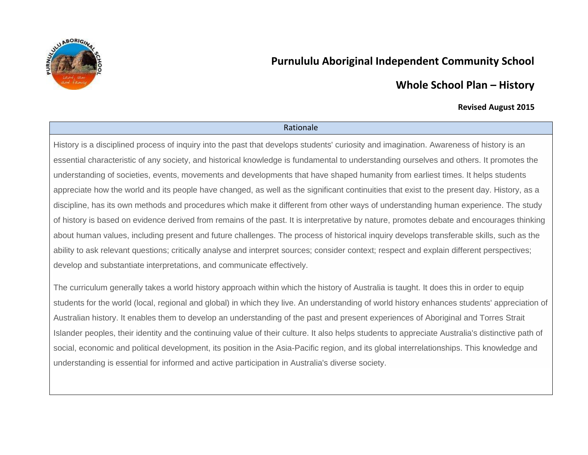

# **Purnululu Aboriginal Independent Community School**

# **Whole School Plan – History**

### **Revised August 2015**

#### Rationale

History is a disciplined process of inquiry into the past that develops students' curiosity and imagination. Awareness of history is an essential characteristic of any society, and historical knowledge is fundamental to understanding ourselves and others. It promotes the understanding of societies, events, movements and developments that have shaped humanity from earliest times. It helps students appreciate how the world and its people have changed, as well as the significant continuities that exist to the present day. History, as a discipline, has its own methods and procedures which make it different from other ways of understanding human experience. The study of history is based on evidence derived from remains of the past. It is interpretative by nature, promotes debate and encourages thinking about human values, including present and future challenges. The process of historical inquiry develops transferable skills, such as the ability to ask relevant questions; critically analyse and interpret sources; consider context; respect and explain different perspectives; develop and substantiate interpretations, and communicate effectively.

The curriculum generally takes a world history approach within which the history of Australia is taught. It does this in order to equip students for the world (local, regional and global) in which they live. An understanding of world history enhances students' appreciation of Australian history. It enables them to develop an understanding of the past and present experiences of Aboriginal and Torres Strait Islander peoples, their identity and the continuing value of their culture. It also helps students to appreciate Australia's distinctive path of social, economic and political development, its position in the Asia-Pacific region, and its global interrelationships. This knowledge and understanding is essential for informed and active participation in Australia's diverse society.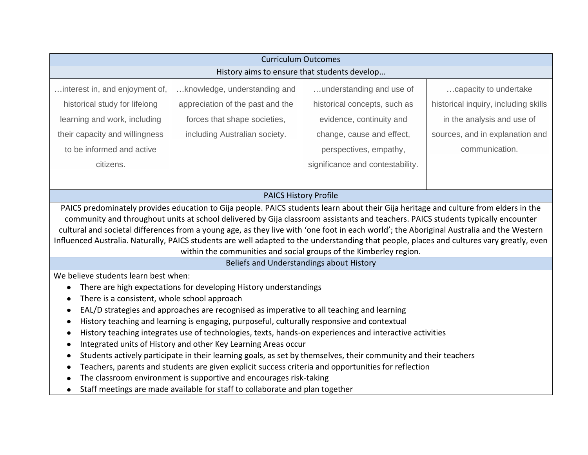| capacity to undertake<br>historical inquiry, including skills<br>in the analysis and use of                                                                                                                                                                                                                                                                                                                                                                                                                                                                       |  |
|-------------------------------------------------------------------------------------------------------------------------------------------------------------------------------------------------------------------------------------------------------------------------------------------------------------------------------------------------------------------------------------------------------------------------------------------------------------------------------------------------------------------------------------------------------------------|--|
|                                                                                                                                                                                                                                                                                                                                                                                                                                                                                                                                                                   |  |
|                                                                                                                                                                                                                                                                                                                                                                                                                                                                                                                                                                   |  |
|                                                                                                                                                                                                                                                                                                                                                                                                                                                                                                                                                                   |  |
|                                                                                                                                                                                                                                                                                                                                                                                                                                                                                                                                                                   |  |
| sources, and in explanation and                                                                                                                                                                                                                                                                                                                                                                                                                                                                                                                                   |  |
| communication.                                                                                                                                                                                                                                                                                                                                                                                                                                                                                                                                                    |  |
|                                                                                                                                                                                                                                                                                                                                                                                                                                                                                                                                                                   |  |
|                                                                                                                                                                                                                                                                                                                                                                                                                                                                                                                                                                   |  |
|                                                                                                                                                                                                                                                                                                                                                                                                                                                                                                                                                                   |  |
| PAICS predominately provides education to Gija people. PAICS students learn about their Gija heritage and culture from elders in the<br>community and throughout units at school delivered by Gija classroom assistants and teachers. PAICS students typically encounter<br>cultural and societal differences from a young age, as they live with 'one foot in each world'; the Aboriginal Australia and the Western<br>Influenced Australia. Naturally, PAICS students are well adapted to the understanding that people, places and cultures vary greatly, even |  |
|                                                                                                                                                                                                                                                                                                                                                                                                                                                                                                                                                                   |  |
|                                                                                                                                                                                                                                                                                                                                                                                                                                                                                                                                                                   |  |
| There is a consistent, whole school approach<br>EAL/D strategies and approaches are recognised as imperative to all teaching and learning                                                                                                                                                                                                                                                                                                                                                                                                                         |  |
| History teaching and learning is engaging, purposeful, culturally responsive and contextual                                                                                                                                                                                                                                                                                                                                                                                                                                                                       |  |
| History teaching integrates use of technologies, texts, hands-on experiences and interactive activities                                                                                                                                                                                                                                                                                                                                                                                                                                                           |  |
| Integrated units of History and other Key Learning Areas occur<br>Students actively participate in their learning goals, as set by themselves, their community and their teachers                                                                                                                                                                                                                                                                                                                                                                                 |  |
|                                                                                                                                                                                                                                                                                                                                                                                                                                                                                                                                                                   |  |
|                                                                                                                                                                                                                                                                                                                                                                                                                                                                                                                                                                   |  |
|                                                                                                                                                                                                                                                                                                                                                                                                                                                                                                                                                                   |  |
|                                                                                                                                                                                                                                                                                                                                                                                                                                                                                                                                                                   |  |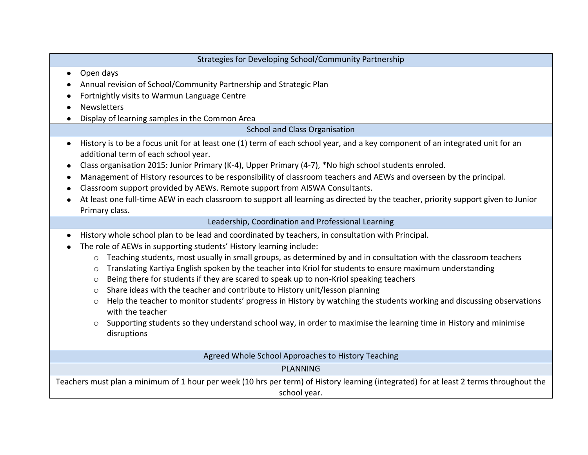| Strategies for Developing School/Community Partnership                                                                                                                             |
|------------------------------------------------------------------------------------------------------------------------------------------------------------------------------------|
| Open days<br>$\bullet$                                                                                                                                                             |
| Annual revision of School/Community Partnership and Strategic Plan                                                                                                                 |
| Fortnightly visits to Warmun Language Centre                                                                                                                                       |
| Newsletters                                                                                                                                                                        |
| Display of learning samples in the Common Area                                                                                                                                     |
| School and Class Organisation                                                                                                                                                      |
| History is to be a focus unit for at least one (1) term of each school year, and a key component of an integrated unit for an<br>$\bullet$<br>additional term of each school year. |
| Class organisation 2015: Junior Primary (K-4), Upper Primary (4-7), *No high school students enroled.<br>٠                                                                         |
| Management of History resources to be responsibility of classroom teachers and AEWs and overseen by the principal.<br>٠                                                            |
| Classroom support provided by AEWs. Remote support from AISWA Consultants.                                                                                                         |
| At least one full-time AEW in each classroom to support all learning as directed by the teacher, priority support given to Junior                                                  |
| Primary class.                                                                                                                                                                     |
| Leadership, Coordination and Professional Learning                                                                                                                                 |
| History whole school plan to be lead and coordinated by teachers, in consultation with Principal.<br>$\bullet$                                                                     |
| The role of AEWs in supporting students' History learning include:                                                                                                                 |
| Teaching students, most usually in small groups, as determined by and in consultation with the classroom teachers<br>$\circ$                                                       |
| Translating Kartiya English spoken by the teacher into Kriol for students to ensure maximum understanding<br>$\circ$                                                               |
| Being there for students if they are scared to speak up to non-Kriol speaking teachers<br>$\circ$                                                                                  |
| Share ideas with the teacher and contribute to History unit/lesson planning<br>$\circ$                                                                                             |
| Help the teacher to monitor students' progress in History by watching the students working and discussing observations<br>$\circ$<br>with the teacher                              |
| Supporting students so they understand school way, in order to maximise the learning time in History and minimise<br>$\circ$<br>disruptions                                        |
| Agreed Whole School Approaches to History Teaching                                                                                                                                 |
| <b>PLANNING</b>                                                                                                                                                                    |
| Teachers must plan a minimum of 1 hour per week (10 hrs per term) of History learning (integrated) for at least 2 terms throughout the<br>school year.                             |